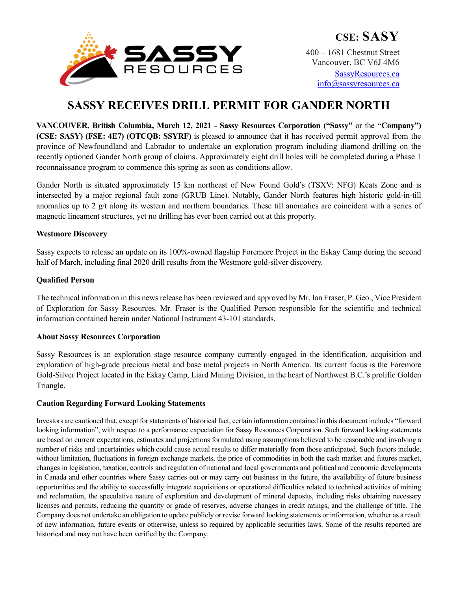

400 – 1681 Chestnut Street Vancouver, BC V6J 4M6 SassyResources.ca info@sassyresources.ca

# **SASSY RECEIVES DRILL PERMIT FOR GANDER NORTH**

**VANCOUVER, British Columbia, March 12, 2021 - Sassy Resources Corporation ("Sassy"** or the **"Company") (CSE: SASY) (FSE: 4E7) (OTCQB: SSYRF)** is pleased to announce that it has received permit approval from the province of Newfoundland and Labrador to undertake an exploration program including diamond drilling on the recently optioned Gander North group of claims. Approximately eight drill holes will be completed during a Phase 1 reconnaissance program to commence this spring as soon as conditions allow.

Gander North is situated approximately 15 km northeast of New Found Gold's (TSXV: NFG) Keats Zone and is intersected by a major regional fault zone (GRUB Line). Notably, Gander North features high historic gold-in-till anomalies up to 2 g/t along its western and northern boundaries. These till anomalies are coincident with a series of magnetic lineament structures, yet no drilling has ever been carried out at this property.

#### **Westmore Discovery**

Sassy expects to release an update on its 100%-owned flagship Foremore Project in the Eskay Camp during the second half of March, including final 2020 drill results from the Westmore gold-silver discovery.

#### **Qualified Person**

The technical information in this news release has been reviewed and approved by Mr. Ian Fraser, P. Geo., Vice President of Exploration for Sassy Resources. Mr. Fraser is the Qualified Person responsible for the scientific and technical information contained herein under National Instrument 43-101 standards.

## **About Sassy Resources Corporation**

Sassy Resources is an exploration stage resource company currently engaged in the identification, acquisition and exploration of high-grade precious metal and base metal projects in North America. Its current focus is the Foremore Gold-Silver Project located in the Eskay Camp, Liard Mining Division, in the heart of Northwest B.C.'s prolific Golden Triangle.

## **Caution Regarding Forward Looking Statements**

Investors are cautioned that, except for statements of historical fact, certain information contained in this document includes "forward looking information", with respect to a performance expectation for Sassy Resources Corporation. Such forward looking statements are based on current expectations, estimates and projections formulated using assumptions believed to be reasonable and involving a number of risks and uncertainties which could cause actual results to differ materially from those anticipated. Such factors include, without limitation, fluctuations in foreign exchange markets, the price of commodities in both the cash market and futures market, changes in legislation, taxation, controls and regulation of national and local governments and political and economic developments in Canada and other countries where Sassy carries out or may carry out business in the future, the availability of future business opportunities and the ability to successfully integrate acquisitions or operational difficulties related to technical activities of mining and reclamation, the speculative nature of exploration and development of mineral deposits, including risks obtaining necessary licenses and permits, reducing the quantity or grade of reserves, adverse changes in credit ratings, and the challenge of title. The Company does not undertake an obligation to update publicly or revise forward looking statements or information, whether as a result of new information, future events or otherwise, unless so required by applicable securities laws. Some of the results reported are historical and may not have been verified by the Company.